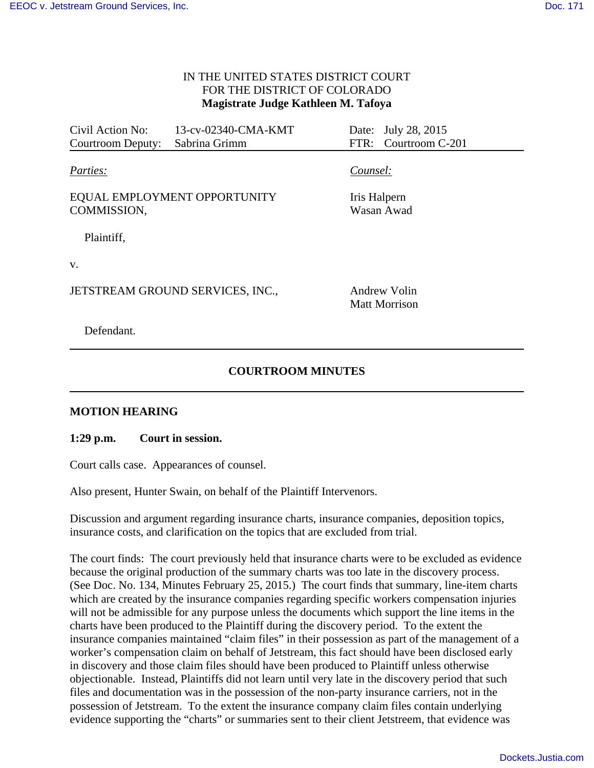## IN THE UNITED STATES DISTRICT COURT FOR THE DISTRICT OF COLORADO **Magistrate Judge Kathleen M. Tafoya**

Civil Action No: 13-cv-02340-CMA-KMT Date: July 28, 2015 Courtroom Deputy: Sabrina Grimm FTR: Courtroom C-201 *Parties: Counsel:* 

EQUAL EMPLOYMENT OPPORTUNITY COMMISSION,

Plaintiff,

v.

JETSTREAM GROUND SERVICES, INC., Andrew Volin

Iris Halpern Wasan Awad

Matt Morrison

Defendant.

## **COURTROOM MINUTES**

## **MOTION HEARING**

**1:29 p.m. Court in session.** 

Court calls case. Appearances of counsel.

Also present, Hunter Swain, on behalf of the Plaintiff Intervenors.

Discussion and argument regarding insurance charts, insurance companies, deposition topics, insurance costs, and clarification on the topics that are excluded from trial.

The court finds: The court previously held that insurance charts were to be excluded as evidence because the original production of the summary charts was too late in the discovery process. (See Doc. No. 134, Minutes February 25, 2015.) The court finds that summary, line-item charts which are created by the insurance companies regarding specific workers compensation injuries will not be admissible for any purpose unless the documents which support the line items in the charts have been produced to the Plaintiff during the discovery period. To the extent the insurance companies maintained "claim files" in their possession as part of the management of a worker's compensation claim on behalf of Jetstream, this fact should have been disclosed early in discovery and those claim files should have been produced to Plaintiff unless otherwise objectionable. Instead, Plaintiffs did not learn until very late in the discovery period that such files and documentation was in the possession of the non-party insurance carriers, not in the possession of Jetstream. To the extent the insurance company claim files contain underlying evidence supporting the "charts" or summaries sent to their client Jetstreem, that evidence was